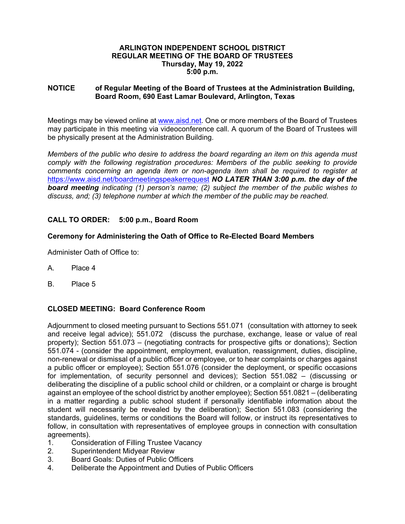### **ARLINGTON INDEPENDENT SCHOOL DISTRICT REGULAR MEETING OF THE BOARD OF TRUSTEES Thursday, May 19, 2022 5:00 p.m.**

## **NOTICE of Regular Meeting of the Board of Trustees at the Administration Building, Board Room, 690 East Lamar Boulevard, Arlington, Texas**

Meetings may be viewed online at www.aisd.net. One or more members of the Board of Trustees may participate in this meeting via videoconference call. A quorum of the Board of Trustees will be physically present at the Administration Building.

*Members of the public who desire to address the board regarding an item on this agenda must comply with the following registration procedures: Members of the public seeking to provide comments concerning an agenda item or non-agenda item shall be required to register at*  https://www.aisd.net/boardmeetingspeakerrequest *NO LATER THAN 3:00 p.m. the day of the board meeting indicating (1) person's name; (2) subject the member of the public wishes to discuss, and; (3) telephone number at which the member of the public may be reached.* 

# **CALL TO ORDER: 5:00 p.m., Board Room**

# **Ceremony for Administering the Oath of Office to Re-Elected Board Members**

Administer Oath of Office to:

- A. Place 4
- B. Place 5

# **CLOSED MEETING: Board Conference Room**

Adjournment to closed meeting pursuant to Sections 551.071 (consultation with attorney to seek and receive legal advice); 551.072 (discuss the purchase, exchange, lease or value of real property); Section 551.073 – (negotiating contracts for prospective gifts or donations); Section 551.074 - (consider the appointment, employment, evaluation, reassignment, duties, discipline, non-renewal or dismissal of a public officer or employee, or to hear complaints or charges against a public officer or employee); Section 551.076 (consider the deployment, or specific occasions for implementation, of security personnel and devices); Section 551.082 – (discussing or deliberating the discipline of a public school child or children, or a complaint or charge is brought against an employee of the school district by another employee); Section 551.0821 – (deliberating in a matter regarding a public school student if personally identifiable information about the student will necessarily be revealed by the deliberation); Section 551.083 (considering the standards, guidelines, terms or conditions the Board will follow, or instruct its representatives to follow, in consultation with representatives of employee groups in connection with consultation agreements).

- 1. Consideration of Filling Trustee Vacancy
- 2. Superintendent Midyear Review
- 3. Board Goals: Duties of Public Officers
- 4. Deliberate the Appointment and Duties of Public Officers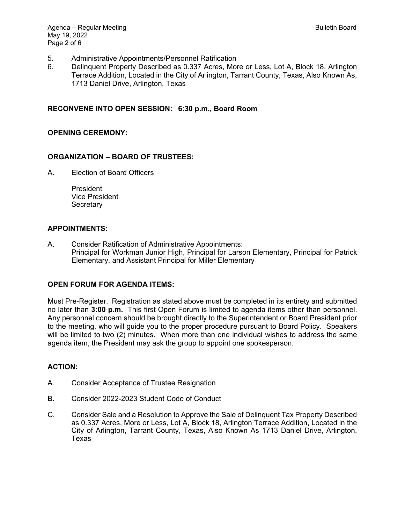- 5. Administrative Appointments/Personnel Ratification
- 6. Delinquent Property Described as 0.337 Acres, More or Less, Lot A, Block 18, Arlington Terrace Addition, Located in the City of Arlington, Tarrant County, Texas, Also Known As, 1713 Daniel Drive, Arlington, Texas

## **RECONVENE INTO OPEN SESSION: 6:30 p.m., Board Room**

### **OPENING CEREMONY:**

## **ORGANIZATION – BOARD OF TRUSTEES:**

A. Election of Board Officers

President Vice President **Secretary** 

### **APPOINTMENTS:**

A. Consider Ratification of Administrative Appointments: Principal for Workman Junior High, Principal for Larson Elementary, Principal for Patrick Elementary, and Assistant Principal for Miller Elementary

## **OPEN FORUM FOR AGENDA ITEMS:**

Must Pre-Register. Registration as stated above must be completed in its entirety and submitted no later than **3:00 p.m.** This first Open Forum is limited to agenda items other than personnel. Any personnel concern should be brought directly to the Superintendent or Board President prior to the meeting, who will guide you to the proper procedure pursuant to Board Policy. Speakers will be limited to two (2) minutes. When more than one individual wishes to address the same agenda item, the President may ask the group to appoint one spokesperson.

### **ACTION:**

- A. Consider Acceptance of Trustee Resignation
- B. Consider 2022-2023 Student Code of Conduct
- C. Consider Sale and a Resolution to Approve the Sale of Delinquent Tax Property Described as 0.337 Acres, More or Less, Lot A, Block 18, Arlington Terrace Addition, Located in the City of Arlington, Tarrant County, Texas, Also Known As 1713 Daniel Drive, Arlington, Texas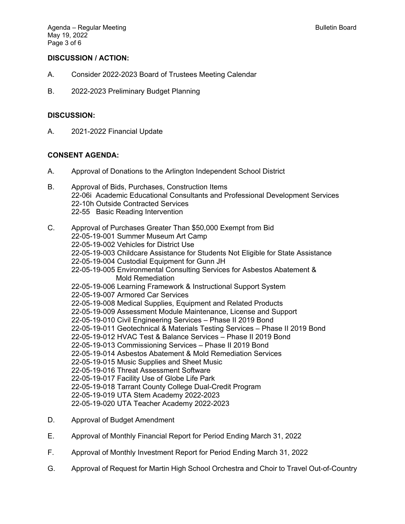## **DISCUSSION / ACTION:**

- A. Consider 2022-2023 Board of Trustees Meeting Calendar
- B. 2022-2023 Preliminary Budget Planning

#### **DISCUSSION:**

A. 2021-2022 Financial Update

#### **CONSENT AGENDA:**

- A. Approval of Donations to the Arlington Independent School District
- B. Approval of Bids, Purchases, Construction Items 22-06i Academic Educational Consultants and Professional Development Services 22-10h Outside Contracted Services 22-55 Basic Reading Intervention
- C. Approval of Purchases Greater Than \$50,000 Exempt from Bid 22-05-19-001 Summer Museum Art Camp 22-05-19-002 Vehicles for District Use 22-05-19-003 Childcare Assistance for Students Not Eligible for State Assistance 22-05-19-004 Custodial Equipment for Gunn JH 22-05-19-005 Environmental Consulting Services for Asbestos Abatement & Mold Remediation 22-05-19-006 Learning Framework & Instructional Support System 22-05-19-007 Armored Car Services 22-05-19-008 Medical Supplies, Equipment and Related Products 22-05-19-009 Assessment Module Maintenance, License and Support 22-05-19-010 Civil Engineering Services – Phase II 2019 Bond 22-05-19-011 Geotechnical & Materials Testing Services – Phase II 2019 Bond 22-05-19-012 HVAC Test & Balance Services – Phase II 2019 Bond 22-05-19-013 Commissioning Services – Phase II 2019 Bond 22-05-19-014 Asbestos Abatement & Mold Remediation Services 22-05-19-015 Music Supplies and Sheet Music 22-05-19-016 Threat Assessment Software 22-05-19-017 Facility Use of Globe Life Park 22-05-19-018 Tarrant County College Dual-Credit Program 22-05-19-019 UTA Stem Academy 2022-2023 22-05-19-020 UTA Teacher Academy 2022-2023
- D. Approval of Budget Amendment
- E. Approval of Monthly Financial Report for Period Ending March 31, 2022
- F. Approval of Monthly Investment Report for Period Ending March 31, 2022
- G. Approval of Request for Martin High School Orchestra and Choir to Travel Out-of-Country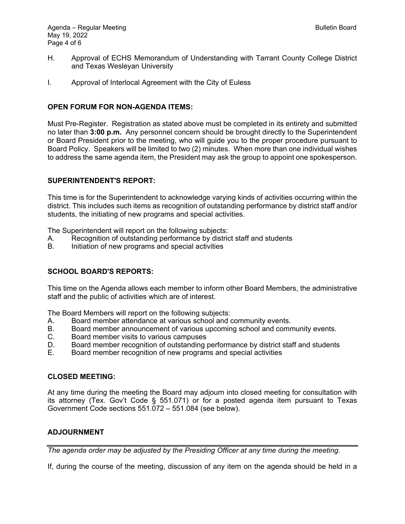- H. Approval of ECHS Memorandum of Understanding with Tarrant County College District and Texas Wesleyan University
- I. Approval of Interlocal Agreement with the City of Euless

## **OPEN FORUM FOR NON-AGENDA ITEMS:**

Must Pre-Register. Registration as stated above must be completed in its entirety and submitted no later than **3:00 p.m.** Any personnel concern should be brought directly to the Superintendent or Board President prior to the meeting, who will guide you to the proper procedure pursuant to Board Policy. Speakers will be limited to two (2) minutes. When more than one individual wishes to address the same agenda item, the President may ask the group to appoint one spokesperson.

## **SUPERINTENDENT'S REPORT:**

This time is for the Superintendent to acknowledge varying kinds of activities occurring within the district. This includes such items as recognition of outstanding performance by district staff and/or students, the initiating of new programs and special activities.

The Superintendent will report on the following subjects:

- A. Recognition of outstanding performance by district staff and students
- B. Initiation of new programs and special activities

# **SCHOOL BOARD'S REPORTS:**

This time on the Agenda allows each member to inform other Board Members, the administrative staff and the public of activities which are of interest.

The Board Members will report on the following subjects:

- A. Board member attendance at various school and community events.
- B. Board member announcement of various upcoming school and community events.
- C. Board member visits to various campuses
- D. Board member recognition of outstanding performance by district staff and students
- E. Board member recognition of new programs and special activities

### **CLOSED MEETING:**

At any time during the meeting the Board may adjourn into closed meeting for consultation with its attorney (Tex. Gov't Code § 551.071) or for a posted agenda item pursuant to Texas Government Code sections 551.072 – 551.084 (see below).

### **ADJOURNMENT**

*The agenda order may be adjusted by the Presiding Officer at any time during the meeting.* 

If, during the course of the meeting, discussion of any item on the agenda should be held in a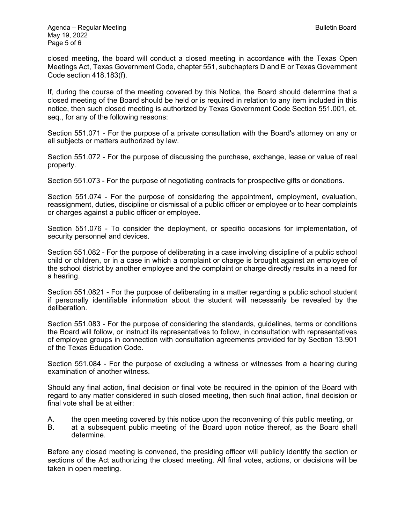closed meeting, the board will conduct a closed meeting in accordance with the Texas Open Meetings Act, Texas Government Code, chapter 551, subchapters D and E or Texas Government Code section 418.183(f).

If, during the course of the meeting covered by this Notice, the Board should determine that a closed meeting of the Board should be held or is required in relation to any item included in this notice, then such closed meeting is authorized by Texas Government Code Section 551.001, et. seq., for any of the following reasons:

Section 551.071 - For the purpose of a private consultation with the Board's attorney on any or all subjects or matters authorized by law.

Section 551.072 - For the purpose of discussing the purchase, exchange, lease or value of real property.

Section 551.073 - For the purpose of negotiating contracts for prospective gifts or donations.

Section 551.074 - For the purpose of considering the appointment, employment, evaluation, reassignment, duties, discipline or dismissal of a public officer or employee or to hear complaints or charges against a public officer or employee.

Section 551.076 - To consider the deployment, or specific occasions for implementation, of security personnel and devices.

Section 551.082 - For the purpose of deliberating in a case involving discipline of a public school child or children, or in a case in which a complaint or charge is brought against an employee of the school district by another employee and the complaint or charge directly results in a need for a hearing.

Section 551.0821 - For the purpose of deliberating in a matter regarding a public school student if personally identifiable information about the student will necessarily be revealed by the deliberation.

Section 551.083 - For the purpose of considering the standards, guidelines, terms or conditions the Board will follow, or instruct its representatives to follow, in consultation with representatives of employee groups in connection with consultation agreements provided for by Section 13.901 of the Texas Education Code.

Section 551.084 - For the purpose of excluding a witness or witnesses from a hearing during examination of another witness.

Should any final action, final decision or final vote be required in the opinion of the Board with regard to any matter considered in such closed meeting, then such final action, final decision or final vote shall be at either:

- A. the open meeting covered by this notice upon the reconvening of this public meeting, or
- B. at a subsequent public meeting of the Board upon notice thereof, as the Board shall determine.

Before any closed meeting is convened, the presiding officer will publicly identify the section or sections of the Act authorizing the closed meeting. All final votes, actions, or decisions will be taken in open meeting.